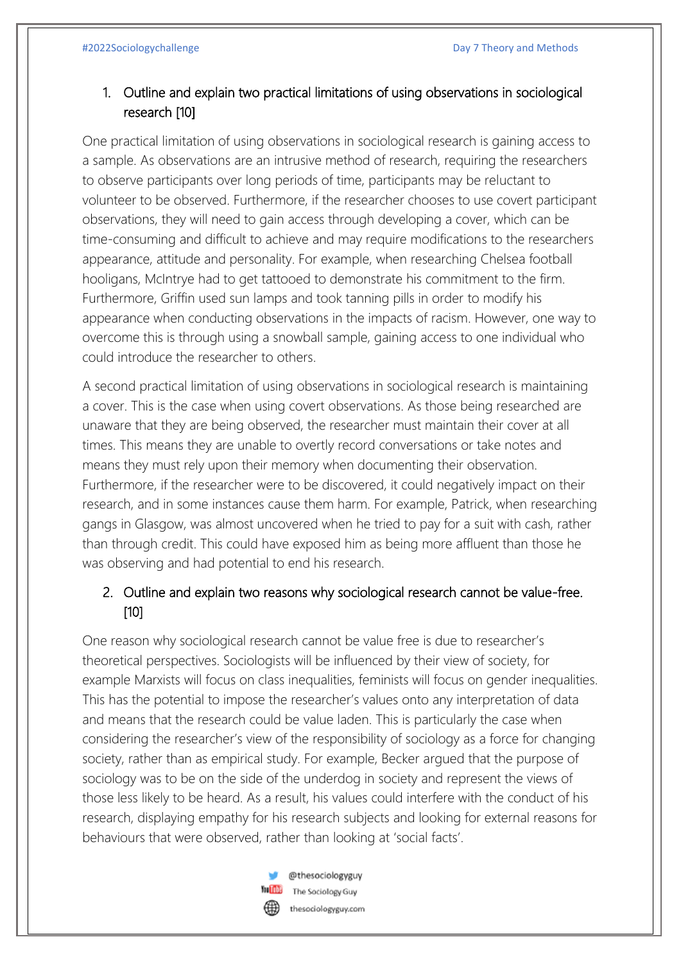## 1. Outline and explain two practical limitations of using observations in sociological research [10]

One practical limitation of using observations in sociological research is gaining access to a sample. As observations are an intrusive method of research, requiring the researchers to observe participants over long periods of time, participants may be reluctant to volunteer to be observed. Furthermore, if the researcher chooses to use covert participant observations, they will need to gain access through developing a cover, which can be time-consuming and difficult to achieve and may require modifications to the researchers appearance, attitude and personality. For example, when researching Chelsea football hooligans, McIntrye had to get tattooed to demonstrate his commitment to the firm. Furthermore, Griffin used sun lamps and took tanning pills in order to modify his appearance when conducting observations in the impacts of racism. However, one way to overcome this is through using a snowball sample, gaining access to one individual who could introduce the researcher to others.

A second practical limitation of using observations in sociological research is maintaining a cover. This is the case when using covert observations. As those being researched are unaware that they are being observed, the researcher must maintain their cover at all times. This means they are unable to overtly record conversations or take notes and means they must rely upon their memory when documenting their observation. Furthermore, if the researcher were to be discovered, it could negatively impact on their research, and in some instances cause them harm. For example, Patrick, when researching gangs in Glasgow, was almost uncovered when he tried to pay for a suit with cash, rather than through credit. This could have exposed him as being more affluent than those he was observing and had potential to end his research.

## 2. Outline and explain two reasons why sociological research cannot be value-free. [10]

One reason why sociological research cannot be value free is due to researcher's theoretical perspectives. Sociologists will be influenced by their view of society, for example Marxists will focus on class inequalities, feminists will focus on gender inequalities. This has the potential to impose the researcher's values onto any interpretation of data and means that the research could be value laden. This is particularly the case when considering the researcher's view of the responsibility of sociology as a force for changing society, rather than as empirical study. For example, Becker argued that the purpose of sociology was to be on the side of the underdog in society and represent the views of those less likely to be heard. As a result, his values could interfere with the conduct of his research, displaying empathy for his research subjects and looking for external reasons for behaviours that were observed, rather than looking at 'social facts'.



@thesociologyguy The Sociology Guy thesociologyguy.com